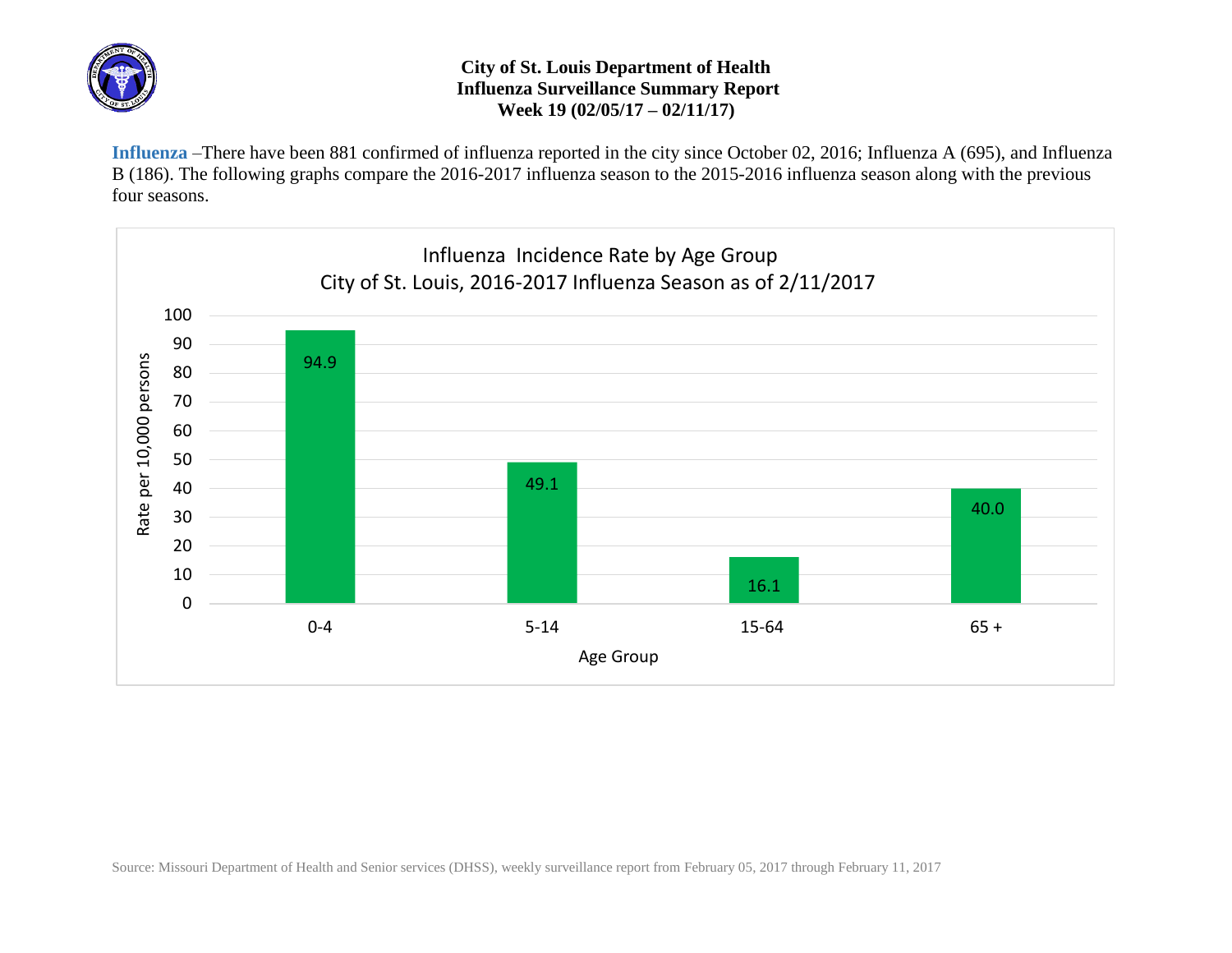

## **City of St. Louis Department of Health Influenza Surveillance Summary Report Week 19 (02/05/17 – 02/11/17)**

**Influenza** –There have been 881 confirmed of influenza reported in the city since October 02, 2016; Influenza A (695), and Influenza B (186). The following graphs compare the 2016-2017 influenza season to the 2015-2016 influenza season along with the previous four seasons.